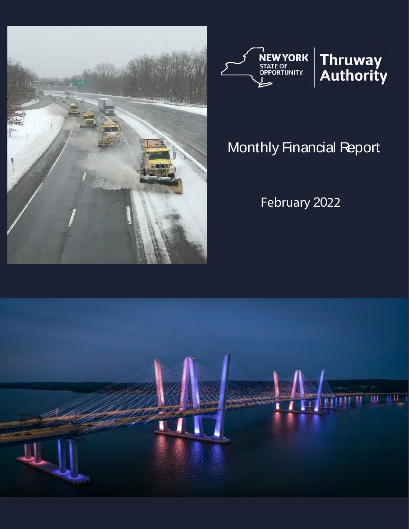



# Monthly Financial Report

February 2022

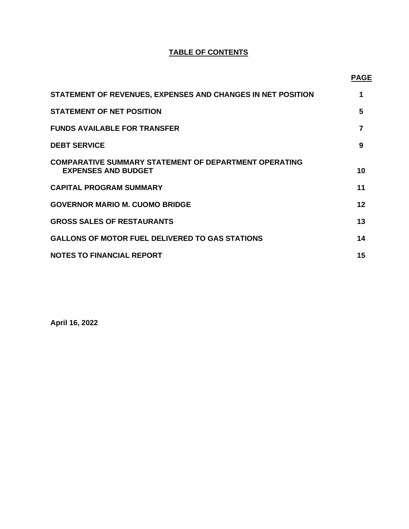## **TABLE OF CONTENTS**

**PAGE** 

| STATEMENT OF REVENUES, EXPENSES AND CHANGES IN NET POSITION                                | 1  |
|--------------------------------------------------------------------------------------------|----|
| <b>STATEMENT OF NET POSITION</b>                                                           | 5  |
| <b>FUNDS AVAILABLE FOR TRANSFER</b>                                                        |    |
| <b>DEBT SERVICE</b>                                                                        | 9  |
| <b>COMPARATIVE SUMMARY STATEMENT OF DEPARTMENT OPERATING</b><br><b>EXPENSES AND BUDGET</b> | 10 |
| <b>CAPITAL PROGRAM SUMMARY</b>                                                             | 11 |
| <b>GOVERNOR MARIO M. CUOMO BRIDGE</b>                                                      | 12 |
| <b>GROSS SALES OF RESTAURANTS</b>                                                          | 13 |
| <b>GALLONS OF MOTOR FUEL DELIVERED TO GAS STATIONS</b>                                     | 14 |
| <b>NOTES TO FINANCIAL REPORT</b>                                                           | 15 |

**April 16, 2022**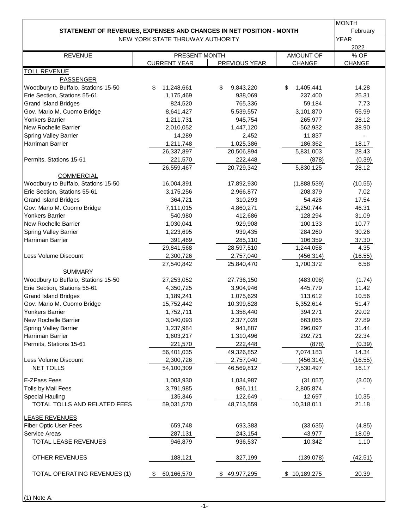|                                                                            |                                      |                 |                     | <b>MONTH</b>   |
|----------------------------------------------------------------------------|--------------------------------------|-----------------|---------------------|----------------|
| <b>STATEMENT OF REVENUES, EXPENSES AND CHANGES IN NET POSITION - MONTH</b> |                                      |                 |                     | February       |
|                                                                            | NEW YORK STATE THRUWAY AUTHORITY     |                 |                     | <b>YEAR</b>    |
|                                                                            |                                      |                 |                     | 2022           |
| <b>REVENUE</b>                                                             | PRESENT MONTH<br><b>CURRENT YEAR</b> | PREVIOUS YEAR   | AMOUNT OF<br>CHANGE | % OF<br>CHANGE |
| <b>TOLL REVENUE</b>                                                        |                                      |                 |                     |                |
| <b>PASSENGER</b>                                                           |                                      |                 |                     |                |
| Woodbury to Buffalo, Stations 15-50                                        | \$<br>11,248,661                     | \$<br>9,843,220 | \$<br>1,405,441     | 14.28          |
| Erie Section, Stations 55-61                                               | 1,175,469                            | 938,069         | 237,400             | 25.31          |
| <b>Grand Island Bridges</b>                                                | 824,520                              | 765,336         | 59,184              | 7.73           |
| Gov. Mario M. Cuomo Bridge                                                 | 8,641,427                            | 5,539,557       | 3,101,870           | 55.99          |
| <b>Yonkers Barrier</b>                                                     | 1,211,731                            | 945,754         | 265,977             | 28.12          |
| <b>New Rochelle Barrier</b>                                                | 2,010,052                            | 1,447,120       | 562,932             | 38.90          |
| <b>Spring Valley Barrier</b>                                               | 14,289                               | 2,452           | 11,837              |                |
| Harriman Barrier                                                           | 1,211,748                            | 1,025,386       | 186,362             | 18.17          |
|                                                                            | 26,337,897                           | 20,506,894      | 5,831,003           | 28.43          |
| Permits, Stations 15-61                                                    | 221,570                              | 222,448         | (878)               | (0.39)         |
|                                                                            | 26,559,467                           | 20,729,342      | 5,830,125           | 28.12          |
| <b>COMMERCIAL</b>                                                          |                                      |                 |                     |                |
| Woodbury to Buffalo, Stations 15-50                                        | 16,004,391                           | 17,892,930      | (1,888,539)         | (10.55)        |
| Erie Section, Stations 55-61                                               | 3,175,256                            | 2,966,877       | 208,379             | 7.02           |
| <b>Grand Island Bridges</b>                                                | 364,721                              | 310,293         | 54,428              | 17.54          |
| Gov. Mario M. Cuomo Bridge                                                 | 7,111,015                            | 4,860,271       | 2,250,744           | 46.31          |
| <b>Yonkers Barrier</b>                                                     | 540,980                              | 412,686         | 128,294             | 31.09          |
| <b>New Rochelle Barrier</b>                                                | 1,030,041                            | 929,908         | 100,133             | 10.77          |
| Spring Valley Barrier                                                      | 1,223,695                            | 939,435         | 284,260             | 30.26          |
| Harriman Barrier                                                           | 391,469                              | 285,110         | 106,359             | 37.30          |
|                                                                            | 29,841,568                           | 28,597,510      | 1,244,058           | 4.35           |
| Less Volume Discount                                                       | 2,300,726                            | 2,757,040       | (456, 314)          | (16.55)        |
|                                                                            | 27,540,842                           | 25,840,470      | 1,700,372           | 6.58           |
| <b>SUMMARY</b>                                                             |                                      |                 |                     |                |
| Woodbury to Buffalo, Stations 15-50                                        | 27,253,052                           | 27,736,150      | (483,098)           | (1.74)         |
| Erie Section, Stations 55-61                                               | 4,350,725                            | 3,904,946       | 445,779             | 11.42          |
| <b>Grand Island Bridges</b>                                                | 1,189,241                            | 1,075,629       | 113,612             | 10.56          |
| Gov. Mario M. Cuomo Bridge                                                 | 15,752,442                           | 10,399,828      | 5,352,614           | 51.47          |
| <b>Yonkers Barrier</b>                                                     | 1,752,711                            | 1,358,440       | 394,271             | 29.02          |
| <b>New Rochelle Barrier</b>                                                | 3,040,093                            | 2,377,028       | 663,065             | 27.89          |
| Spring Valley Barrier                                                      | 1,237,984                            | 941,887         | 296,097             | 31.44          |
| Harriman Barrier                                                           | 1,603,217                            | 1,310,496       | 292,721             | 22.34          |
| Permits, Stations 15-61                                                    | 221,570                              | 222,448         | (878)               | (0.39)         |
|                                                                            | 56,401,035                           | 49,326,852      | 7,074,183           | 14.34          |
| Less Volume Discount                                                       | 2,300,726                            | 2,757,040       | (456, 314)          | (16.55)        |
| NET TOLLS                                                                  | 54,100,309                           | 46,569,812      | 7,530,497           | 16.17          |
| E-ZPass Fees                                                               | 1,003,930                            | 1,034,987       | (31, 057)           | (3.00)         |
| Tolls by Mail Fees                                                         | 3,791,985                            | 986,111         | 2,805,874           |                |
| Special Hauling                                                            | 135,346                              | 122,649         | 12,697              | 10.35          |
| TOTAL TOLLS AND RELATED FEES                                               | 59,031,570                           | 48,713,559      | 10,318,011          | 21.18          |
| <b>LEASE REVENUES</b>                                                      |                                      |                 |                     |                |
| Fiber Optic User Fees                                                      | 659,748                              | 693,383         | (33, 635)           | (4.85)         |
| Service Areas                                                              | 287,131                              | 243,154         | 43,977              | 18.09          |
| TOTAL LEASE REVENUES                                                       | 946,879                              | 936,537         | 10,342              | 1.10           |
| <b>OTHER REVENUES</b>                                                      | 188,121                              | 327,199         | (139, 078)          | (42.51)        |
| <b>TOTAL OPERATING REVENUES (1)</b>                                        | 60,166,570<br>\$                     | \$49,977,295    | \$10,189,275        | 20.39          |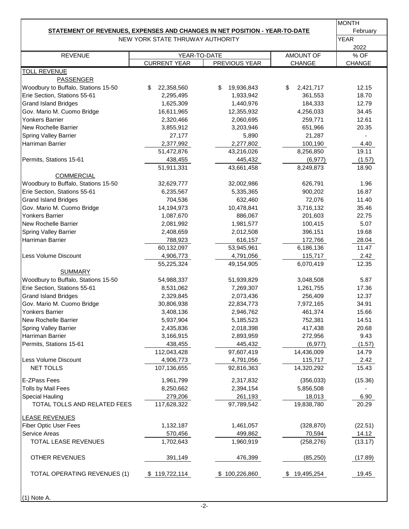|                                                                                   |                                  |                  |                 | <b>MONTH</b> |
|-----------------------------------------------------------------------------------|----------------------------------|------------------|-----------------|--------------|
| <b>STATEMENT OF REVENUES, EXPENSES AND CHANGES IN NET POSITION - YEAR-TO-DATE</b> |                                  |                  |                 | February     |
|                                                                                   | NEW YORK STATE THRUWAY AUTHORITY |                  |                 | <b>YEAR</b>  |
| <b>REVENUE</b>                                                                    | YEAR-TO-DATE                     |                  | AMOUNT OF       | 2022<br>% OF |
|                                                                                   | <b>CURRENT YEAR</b>              | PREVIOUS YEAR    | CHANGE          | CHANGE       |
| <b>TOLL REVENUE</b>                                                               |                                  |                  |                 |              |
| <b>PASSENGER</b>                                                                  |                                  |                  |                 |              |
| Woodbury to Buffalo, Stations 15-50                                               | 22,358,560<br>S                  | 19,936,843<br>\$ | 2,421,717<br>\$ | 12.15        |
| Erie Section, Stations 55-61                                                      | 2,295,495                        | 1,933,942        | 361,553         | 18.70        |
| <b>Grand Island Bridges</b>                                                       | 1,625,309                        | 1,440,976        | 184,333         | 12.79        |
| Gov. Mario M. Cuomo Bridge                                                        | 16,611,965                       | 12,355,932       | 4,256,033       | 34.45        |
| <b>Yonkers Barrier</b>                                                            | 2,320,466                        | 2,060,695        | 259,771         | 12.61        |
| New Rochelle Barrier                                                              | 3,855,912                        | 3,203,946        | 651,966         | 20.35        |
| <b>Spring Valley Barrier</b>                                                      | 27,177                           | 5,890            | 21,287          |              |
| Harriman Barrier                                                                  | 2,377,992                        | 2,277,802        | 100,190         | 4.40         |
|                                                                                   | 51,472,876                       | 43,216,026       | 8,256,850       | 19.11        |
| Permits, Stations 15-61                                                           | 438,455                          | 445,432          | (6, 977)        | (1.57)       |
|                                                                                   | 51,911,331                       | 43,661,458       | 8,249,873       | 18.90        |
| <b>COMMERCIAL</b>                                                                 |                                  |                  |                 |              |
| Woodbury to Buffalo, Stations 15-50                                               | 32,629,777                       | 32,002,986       | 626,791         | 1.96         |
| Erie Section, Stations 55-61                                                      | 6,235,567                        | 5,335,365        | 900,202         | 16.87        |
| <b>Grand Island Bridges</b>                                                       | 704,536                          | 632,460          | 72,076          | 11.40        |
| Gov. Mario M. Cuomo Bridge                                                        | 14,194,973                       | 10,478,841       | 3,716,132       | 35.46        |
| <b>Yonkers Barrier</b>                                                            | 1,087,670                        | 886,067          | 201,603         | 22.75        |
| New Rochelle Barrier                                                              | 2,081,992                        | 1,981,577        | 100,415         | 5.07         |
| Spring Valley Barrier                                                             | 2,408,659                        | 2,012,508        | 396,151         | 19.68        |
| Harriman Barrier                                                                  | 788,923                          | 616,157          | 172,766         | 28.04        |
|                                                                                   | 60,132,097                       | 53,945,961       | 6,186,136       | 11.47        |
| Less Volume Discount                                                              | 4,906,773                        | 4,791,056        | 115,717         | 2.42         |
|                                                                                   | 55,225,324                       | 49,154,905       | 6,070,419       | 12.35        |
| <b>SUMMARY</b><br>Woodbury to Buffalo, Stations 15-50                             |                                  |                  |                 |              |
|                                                                                   | 54,988,337                       | 51,939,829       | 3,048,508       | 5.87         |
| Erie Section, Stations 55-61                                                      | 8,531,062                        | 7,269,307        | 1,261,755       | 17.36        |
| <b>Grand Island Bridges</b>                                                       | 2,329,845                        | 2,073,436        | 256,409         | 12.37        |
| Gov. Mario M. Cuomo Bridge                                                        | 30,806,938                       | 22,834,773       | 7,972,165       | 34.91        |
| Yonkers Barrier                                                                   | 3,408,136                        | 2,946,762        | 461,374         | 15.66        |
| New Rochelle Barrier                                                              | 5,937,904                        | 5,185,523        | 752,381         | 14.51        |
| <b>Spring Valley Barrier</b>                                                      | 2,435,836                        | 2,018,398        | 417,438         | 20.68        |
| Harriman Barrier                                                                  | 3,166,915                        | 2,893,959        | 272,956         | 9.43         |
| Permits, Stations 15-61                                                           | 438,455                          | 445,432          | (6, 977)        | (1.57)       |
|                                                                                   | 112,043,428                      | 97,607,419       | 14,436,009      | 14.79        |
| Less Volume Discount                                                              | 4,906,773                        | 4,791,056        | 115,717         | 2.42         |
| NET TOLLS                                                                         | 107,136,655                      | 92,816,363       | 14,320,292      | 15.43        |
| E-ZPass Fees                                                                      | 1,961,799                        | 2,317,832        | (356, 033)      | (15.36)      |
| Tolls by Mail Fees                                                                | 8,250,662                        | 2,394,154        | 5,856,508       |              |
| <b>Special Hauling</b>                                                            | 279,206                          | 261,193          | 18,013          | 6.90         |
| TOTAL TOLLS AND RELATED FEES                                                      | 117,628,322                      | 97,789,542       | 19,838,780      | 20.29        |
| <b>LEASE REVENUES</b>                                                             |                                  |                  |                 |              |
| <b>Fiber Optic User Fees</b>                                                      | 1,132,187                        | 1,461,057        | (328, 870)      | (22.51)      |
| Service Areas                                                                     | 570,456                          | 499,862          | 70,594          | 14.12        |
| TOTAL LEASE REVENUES                                                              | 1,702,643                        | 1,960,919        | (258, 276)      | (13.17)      |
|                                                                                   |                                  |                  |                 |              |
| <b>OTHER REVENUES</b>                                                             | 391,149                          | 476,399          | (85, 250)       | (17.89)      |
| TOTAL OPERATING REVENUES (1)                                                      | \$119,722,114                    | \$100,226,860    | \$19,495,254    | 19.45        |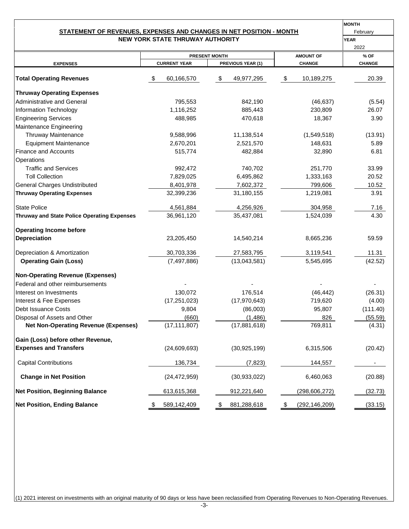#### **NEW YORK STATE THRUWAY AUTHORITY STATEMENT OF REVENUES, EXPENSES AND CHANGES IN NET POSITION - MONTH**

| <b>IMONTH</b> |
|---------------|
| February      |
| <b>YEAR</b>   |

|                                                    |                      |                     |    |                   |                       | 2022          |
|----------------------------------------------------|----------------------|---------------------|----|-------------------|-----------------------|---------------|
|                                                    | <b>PRESENT MONTH</b> |                     |    |                   | <b>AMOUNT OF</b>      | % OF          |
| <b>EXPENSES</b>                                    |                      | <b>CURRENT YEAR</b> |    | PREVIOUS YEAR (1) | <b>CHANGE</b>         | <b>CHANGE</b> |
| <b>Total Operating Revenues</b>                    | S                    | 60,166,570          | \$ | 49,977,295        | \$<br>10,189,275      | 20.39         |
| <b>Thruway Operating Expenses</b>                  |                      |                     |    |                   |                       |               |
| <b>Administrative and General</b>                  |                      | 795,553             |    | 842,190           | (46, 637)             | (5.54)        |
| Information Technology                             |                      | 1,116,252           |    | 885,443           | 230,809               | 26.07         |
| <b>Engineering Services</b>                        |                      | 488,985             |    | 470,618           | 18,367                | 3.90          |
| Maintenance Engineering                            |                      |                     |    |                   |                       |               |
| Thruway Maintenance                                |                      | 9,588,996           |    | 11,138,514        | (1,549,518)           | (13.91)       |
| <b>Equipment Maintenance</b>                       |                      | 2,670,201           |    | 2,521,570         | 148,631               | 5.89          |
| <b>Finance and Accounts</b>                        |                      | 515,774             |    | 482,884           | 32,890                | 6.81          |
| Operations                                         |                      |                     |    |                   |                       |               |
| <b>Traffic and Services</b>                        |                      | 992,472             |    | 740,702           | 251,770               | 33.99         |
| <b>Toll Collection</b>                             |                      | 7,829,025           |    | 6,495,862         | 1,333,163             | 20.52         |
| <b>General Charges Undistributed</b>               |                      | 8,401,978           |    | 7,602,372         | 799,606               | 10.52         |
| <b>Thruway Operating Expenses</b>                  |                      | 32,399,236          |    | 31,180,155        | 1,219,081             | 3.91          |
|                                                    |                      |                     |    |                   |                       |               |
| <b>State Police</b>                                |                      | 4,561,884           |    | 4,256,926         | 304,958               | 7.16          |
| <b>Thruway and State Police Operating Expenses</b> |                      | 36,961,120          |    | 35,437,081        | 1,524,039             | 4.30          |
| <b>Operating Income before</b>                     |                      |                     |    |                   |                       |               |
| <b>Depreciation</b>                                |                      | 23,205,450          |    | 14,540,214        | 8,665,236             | 59.59         |
| Depreciation & Amortization                        |                      | 30,703,336          |    | 27,583,795        | 3,119,541             | 11.31         |
| <b>Operating Gain (Loss)</b>                       |                      | (7, 497, 886)       |    | (13,043,581)      | 5,545,695             | (42.52)       |
| <b>Non-Operating Revenue (Expenses)</b>            |                      |                     |    |                   |                       |               |
| Federal and other reimbursements                   |                      |                     |    |                   |                       |               |
| Interest on Investments                            |                      | 130,072             |    | 176,514           | (46, 442)             | (26.31)       |
| Interest & Fee Expenses                            |                      | (17, 251, 023)      |    | (17, 970, 643)    | 719,620               | (4.00)        |
| Debt Issuance Costs                                |                      | 9,804               |    | (86,003)          | 95,807                | (111.40)      |
| Disposal of Assets and Other                       |                      | (660)               |    | (1, 486)          | 826                   | (55.59)       |
| <b>Net Non-Operating Revenue (Expenses)</b>        |                      | (17, 111, 807)      |    | (17,881,618)      | 769,811               | (4.31)        |
| Gain (Loss) before other Revenue,                  |                      |                     |    |                   |                       |               |
| <b>Expenses and Transfers</b>                      |                      | (24, 609, 693)      |    | (30, 925, 199)    | 6,315,506             | (20.42)       |
| <b>Capital Contributions</b>                       |                      | 136,734             |    | (7, 823)          | 144,557               |               |
| <b>Change in Net Position</b>                      |                      | (24, 472, 959)      |    | (30, 933, 022)    | 6,460,063             | (20.88)       |
| <b>Net Position, Beginning Balance</b>             |                      | 613,615,368         |    | 912,221,640       | (298,606,272)         | (32.73)       |
| <b>Net Position, Ending Balance</b>                | \$                   | 589,142,409         | \$ | 881,288,618       | \$<br>(292, 146, 209) | (33.15)       |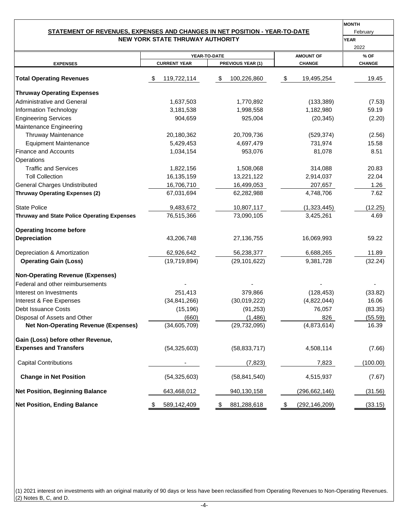#### **NEW YORK STATE THRUWAY AUTHORITY STATEMENT OF REVENUES, EXPENSES AND CHANGES IN NET POSITION - YEAR-TO-DATE**

| <b>MONTH</b> |
|--------------|
| February     |
| <b>YEAR</b>  |

|                                                    |                     |                   |                       | 2022          |
|----------------------------------------------------|---------------------|-------------------|-----------------------|---------------|
|                                                    |                     | YEAR-TO-DATE      | <b>AMOUNT OF</b>      | % OF          |
| <b>EXPENSES</b>                                    | <b>CURRENT YEAR</b> | PREVIOUS YEAR (1) | <b>CHANGE</b>         | <b>CHANGE</b> |
| <b>Total Operating Revenues</b>                    | 119,722,114         | \$<br>100,226,860 | \$<br>19,495,254      | 19.45         |
| <b>Thruway Operating Expenses</b>                  |                     |                   |                       |               |
| <b>Administrative and General</b>                  | 1,637,503           | 1,770,892         | (133, 389)            | (7.53)        |
| Information Technology                             | 3,181,538           | 1,998,558         | 1,182,980             | 59.19         |
| <b>Engineering Services</b>                        | 904,659             | 925,004           | (20, 345)             | (2.20)        |
| Maintenance Engineering                            |                     |                   |                       |               |
| Thruway Maintenance                                | 20,180,362          | 20,709,736        | (529, 374)            | (2.56)        |
| <b>Equipment Maintenance</b>                       | 5,429,453           | 4,697,479         | 731,974               | 15.58         |
| <b>Finance and Accounts</b>                        | 1,034,154           | 953,076           | 81,078                | 8.51          |
| Operations                                         |                     |                   |                       |               |
| <b>Traffic and Services</b>                        | 1,822,156           | 1,508,068         | 314,088               | 20.83         |
| <b>Toll Collection</b>                             | 16, 135, 159        | 13,221,122        | 2,914,037             | 22.04         |
| <b>General Charges Undistributed</b>               | 16,706,710          | 16,499,053        | 207,657               | 1.26          |
| <b>Thruway Operating Expenses (2)</b>              | 67,031,694          | 62,282,988        | 4,748,706             | 7.62          |
| <b>State Police</b>                                | 9,483,672           | 10,807,117        | (1,323,445)           | (12.25)       |
| <b>Thruway and State Police Operating Expenses</b> | 76,515,366          | 73,090,105        | 3,425,261             | 4.69          |
| <b>Operating Income before</b>                     |                     |                   |                       |               |
| Depreciation                                       | 43,206,748          | 27,136,755        | 16,069,993            | 59.22         |
| Depreciation & Amortization                        | 62,926,642          | 56,238,377        | 6,688,265             | 11.89         |
| <b>Operating Gain (Loss)</b>                       | (19,719,894)        | (29, 101, 622)    | 9,381,728             | (32.24)       |
| <b>Non-Operating Revenue (Expenses)</b>            |                     |                   |                       |               |
| Federal and other reimbursements                   |                     |                   |                       |               |
| Interest on Investments                            | 251,413             | 379,866           | (128, 453)            | (33.82)       |
| Interest & Fee Expenses                            | (34, 841, 266)      | (30,019,222)      | (4,822,044)           | 16.06         |
| Debt Issuance Costs                                | (15, 196)           | (91, 253)         | 76,057                | (83.35)       |
| Disposal of Assets and Other                       | (660)               | (1, 486)          | 826                   | (55.59)       |
| <b>Net Non-Operating Revenue (Expenses)</b>        | (34,605,709)        | (29, 732, 095)    | (4,873,614)           | 16.39         |
| Gain (Loss) before other Revenue,                  |                     |                   |                       |               |
| <b>Expenses and Transfers</b>                      | (54, 325, 603)      | (58, 833, 717)    | 4,508,114             | (7.66)        |
| <b>Capital Contributions</b>                       |                     | (7, 823)          | 7,823                 | (100.00)      |
| <b>Change in Net Position</b>                      | (54, 325, 603)      | (58, 841, 540)    | 4,515,937             | (7.67)        |
| <b>Net Position, Beginning Balance</b>             | 643,468,012         | 940,130,158       | (296, 662, 146)       | (31.56)       |
| <b>Net Position, Ending Balance</b>                | 589,142,409<br>\$   | \$<br>881,288,618 | \$<br>(292, 146, 209) | (33.15)       |

(1) 2021 interest on investments with an original maturity of 90 days or less have been reclassified from Operating Revenues to Non-Operating Revenues. (2) Notes B, C, and D.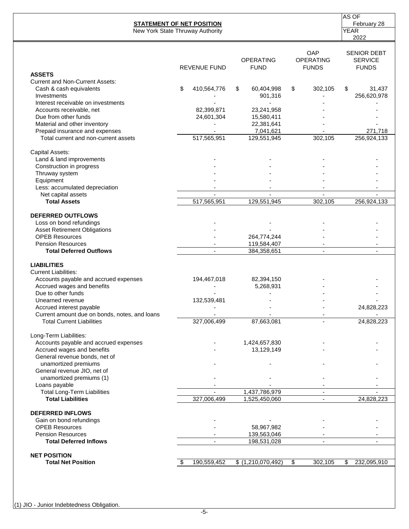|                                                                                                                                                                                                                                                                                                                                                                                                   | <b>STATEMENT OF NET POSITION</b> |                                 |                                  | AS OF<br>February 28                                 |
|---------------------------------------------------------------------------------------------------------------------------------------------------------------------------------------------------------------------------------------------------------------------------------------------------------------------------------------------------------------------------------------------------|----------------------------------|---------------------------------|----------------------------------|------------------------------------------------------|
|                                                                                                                                                                                                                                                                                                                                                                                                   | New York State Thruway Authority |                                 |                                  | <b>YEAR</b>                                          |
|                                                                                                                                                                                                                                                                                                                                                                                                   |                                  |                                 |                                  | 2022                                                 |
| <b>ASSETS</b>                                                                                                                                                                                                                                                                                                                                                                                     | <b>REVENUE FUND</b>              | <b>OPERATING</b><br><b>FUND</b> | OAP<br>OPERATING<br><b>FUNDS</b> | <b>SENIOR DEBT</b><br><b>SERVICE</b><br><b>FUNDS</b> |
| <b>Current and Non-Current Assets:</b>                                                                                                                                                                                                                                                                                                                                                            |                                  |                                 |                                  |                                                      |
| Cash & cash equivalents                                                                                                                                                                                                                                                                                                                                                                           | \$<br>410,564,776                | \$<br>60,404,998                | \$<br>302,105                    | \$<br>31,437                                         |
| Investments                                                                                                                                                                                                                                                                                                                                                                                       |                                  | 901,316                         |                                  | 256,620,978                                          |
| Interest receivable on investments                                                                                                                                                                                                                                                                                                                                                                |                                  |                                 |                                  |                                                      |
| Accounts receivable, net                                                                                                                                                                                                                                                                                                                                                                          | 82,399,871                       | 23,241,958                      |                                  |                                                      |
| Due from other funds                                                                                                                                                                                                                                                                                                                                                                              | 24,601,304                       | 15,580,411                      |                                  |                                                      |
| Material and other inventory                                                                                                                                                                                                                                                                                                                                                                      |                                  | 22,381,641                      |                                  |                                                      |
| Prepaid insurance and expenses                                                                                                                                                                                                                                                                                                                                                                    |                                  | 7,041,621                       |                                  | 271,718                                              |
| Total current and non-current assets                                                                                                                                                                                                                                                                                                                                                              | 517,565,951                      | 129,551,945                     | 302,105                          | 256,924,133                                          |
|                                                                                                                                                                                                                                                                                                                                                                                                   |                                  |                                 |                                  |                                                      |
|                                                                                                                                                                                                                                                                                                                                                                                                   |                                  |                                 |                                  |                                                      |
| Construction in progress<br>Thruway system<br>Equipment                                                                                                                                                                                                                                                                                                                                           |                                  |                                 |                                  |                                                      |
|                                                                                                                                                                                                                                                                                                                                                                                                   |                                  |                                 |                                  |                                                      |
|                                                                                                                                                                                                                                                                                                                                                                                                   |                                  |                                 |                                  |                                                      |
| Less: accumulated depreciation                                                                                                                                                                                                                                                                                                                                                                    |                                  |                                 |                                  |                                                      |
| Net capital assets                                                                                                                                                                                                                                                                                                                                                                                | $\sim$                           | $\sim$                          | $\blacksquare$                   | $\mathbf{r}$                                         |
| <b>Total Assets</b>                                                                                                                                                                                                                                                                                                                                                                               | 517,565,951                      | 129,551,945                     | 302,105                          | 256,924,133                                          |
| <b>DEFERRED OUTFLOWS</b>                                                                                                                                                                                                                                                                                                                                                                          |                                  |                                 |                                  |                                                      |
|                                                                                                                                                                                                                                                                                                                                                                                                   |                                  |                                 |                                  |                                                      |
|                                                                                                                                                                                                                                                                                                                                                                                                   |                                  |                                 |                                  |                                                      |
| <b>OPEB Resources</b>                                                                                                                                                                                                                                                                                                                                                                             |                                  | 264,774,244                     |                                  |                                                      |
| <b>Pension Resources</b>                                                                                                                                                                                                                                                                                                                                                                          |                                  | 119,584,407                     |                                  |                                                      |
| <b>Total Deferred Outflows</b>                                                                                                                                                                                                                                                                                                                                                                    |                                  | 384,358,651                     |                                  |                                                      |
| <b>LIABILITIES</b>                                                                                                                                                                                                                                                                                                                                                                                |                                  |                                 |                                  |                                                      |
| <b>Current Liabilities:</b>                                                                                                                                                                                                                                                                                                                                                                       |                                  |                                 |                                  |                                                      |
|                                                                                                                                                                                                                                                                                                                                                                                                   | 194,467,018                      | 82,394,150                      |                                  |                                                      |
| Accrued wages and benefits                                                                                                                                                                                                                                                                                                                                                                        |                                  | 5,268,931                       |                                  |                                                      |
| Due to other funds                                                                                                                                                                                                                                                                                                                                                                                |                                  |                                 |                                  |                                                      |
| Unearned revenue                                                                                                                                                                                                                                                                                                                                                                                  | 132,539,481                      |                                 |                                  |                                                      |
| Accrued interest payable                                                                                                                                                                                                                                                                                                                                                                          |                                  |                                 |                                  | 24,828,223                                           |
| Current amount due on bonds, notes, and loans                                                                                                                                                                                                                                                                                                                                                     |                                  |                                 |                                  |                                                      |
| Capital Assets:<br>Land & land improvements<br>Loss on bond refundings<br><b>Asset Retirement Obligations</b><br>Accounts payable and accrued expenses<br><b>Total Current Liabilities</b><br>unamortized premiums<br>General revenue JIO, net of<br>unamortized premiums (1)<br>Loans payable<br><b>Total Long-Term Liabilities</b><br><b>Total Liabilities</b><br><b>Total Deferred Inflows</b> | 327,006,499                      | 87,663,081                      |                                  | 24,828,223                                           |
| Long-Term Liabilities:                                                                                                                                                                                                                                                                                                                                                                            |                                  |                                 |                                  |                                                      |
| Accounts payable and accrued expenses                                                                                                                                                                                                                                                                                                                                                             |                                  | 1,424,657,830                   |                                  |                                                      |
| Accrued wages and benefits                                                                                                                                                                                                                                                                                                                                                                        |                                  | 13,129,149                      |                                  |                                                      |
| General revenue bonds, net of                                                                                                                                                                                                                                                                                                                                                                     |                                  |                                 |                                  |                                                      |
|                                                                                                                                                                                                                                                                                                                                                                                                   |                                  |                                 |                                  |                                                      |
|                                                                                                                                                                                                                                                                                                                                                                                                   |                                  |                                 |                                  |                                                      |
|                                                                                                                                                                                                                                                                                                                                                                                                   |                                  |                                 |                                  |                                                      |
|                                                                                                                                                                                                                                                                                                                                                                                                   |                                  |                                 |                                  |                                                      |
|                                                                                                                                                                                                                                                                                                                                                                                                   |                                  | 1,437,786,979                   |                                  |                                                      |
|                                                                                                                                                                                                                                                                                                                                                                                                   | 327,006,499                      | 1,525,450,060                   |                                  | 24,828,223                                           |
| <b>DEFERRED INFLOWS</b>                                                                                                                                                                                                                                                                                                                                                                           |                                  |                                 |                                  |                                                      |
| Gain on bond refundings                                                                                                                                                                                                                                                                                                                                                                           |                                  |                                 |                                  |                                                      |
| <b>OPEB Resources</b>                                                                                                                                                                                                                                                                                                                                                                             |                                  | 58,967,982                      |                                  |                                                      |
| <b>Pension Resources</b>                                                                                                                                                                                                                                                                                                                                                                          |                                  | 139,563,046                     |                                  |                                                      |
|                                                                                                                                                                                                                                                                                                                                                                                                   |                                  | 198,531,028                     |                                  |                                                      |
|                                                                                                                                                                                                                                                                                                                                                                                                   |                                  |                                 |                                  |                                                      |
| <b>NET POSITION</b>                                                                                                                                                                                                                                                                                                                                                                               |                                  |                                 |                                  |                                                      |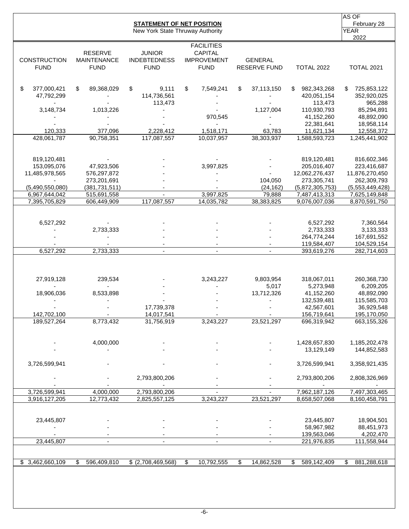|                                    |                                                     | <b>STATEMENT OF NET POSITION</b><br>New York State Thruway Authority |                                                                          |                                       |                                  | AS OF<br>February 28<br><b>YEAR</b> |
|------------------------------------|-----------------------------------------------------|----------------------------------------------------------------------|--------------------------------------------------------------------------|---------------------------------------|----------------------------------|-------------------------------------|
| <b>CONSTRUCTION</b><br><b>FUND</b> | <b>RESERVE</b><br><b>MAINTENANCE</b><br><b>FUND</b> | <b>JUNIOR</b><br><b>INDEBTEDNESS</b><br><b>FUND</b>                  | <b>FACILITIES</b><br><b>CAPITAL</b><br><b>IMPROVEMENT</b><br><b>FUND</b> | <b>GENERAL</b><br><b>RESERVE FUND</b> | <b>TOTAL 2022</b>                | 2022<br><b>TOTAL 2021</b>           |
| \$<br>377,000,421                  | \$<br>89,368,029                                    | \$<br>9,111                                                          | \$<br>7,549,241                                                          | \$<br>37,113,150                      | \$<br>982,343,268                | 725,853,122<br>\$.                  |
| 47,792,299                         |                                                     | 114,736,561<br>113,473                                               |                                                                          |                                       | 420,051,154<br>113,473           | 352,920,025<br>965,288              |
| 3,148,734                          | 1,013,226                                           |                                                                      |                                                                          | 1,127,004                             | 110,930,793                      | 85,294,891                          |
|                                    |                                                     |                                                                      | 970,545                                                                  |                                       | 41,152,260                       | 48,892,090                          |
|                                    |                                                     |                                                                      |                                                                          |                                       | 22,381,641                       | 18,958,114                          |
| 120,333                            | 377,096                                             | 2,228,412                                                            | 1,518,171                                                                | 63,783                                | 11,621,134                       | 12,558,372                          |
| 428,061,787                        | 90,758,351                                          | 117,087,557                                                          | 10,037,957                                                               | 38,303,937                            | 1,588,593,723                    | 1,245,441,902                       |
| 819,120,481                        |                                                     |                                                                      |                                                                          |                                       | 819,120,481                      | 816,602,346                         |
| 153,095,076                        | 47,923,506                                          |                                                                      | 3,997,825                                                                |                                       | 205,016,407                      | 223,416,687                         |
| 11,485,978,565                     | 576,297,872                                         |                                                                      |                                                                          |                                       | 12,062,276,437                   | 11,876,270,450                      |
|                                    | 273,201,691                                         |                                                                      |                                                                          | 104,050                               | 273,305,741                      | 262,309,793                         |
| (5,490,550,080)<br>6,967,644,042   | (381, 731, 511)<br>515,691,558                      |                                                                      | 3,997,825                                                                | (24, 162)<br>79,888                   | (5,872,305,753)<br>7,487,413,313 | (5,553,449,428)                     |
| 7,395,705,829                      | 606,449,909                                         | 117,087,557                                                          | 14,035,782                                                               | 38,383,825                            | 9,076,007,036                    | 7,625,149,848<br>8,870,591,750      |
|                                    |                                                     |                                                                      |                                                                          |                                       |                                  |                                     |
| 6,527,292                          |                                                     |                                                                      |                                                                          |                                       | 6,527,292                        | 7,360,564                           |
|                                    | 2,733,333                                           |                                                                      |                                                                          |                                       | 2,733,333                        | 3,133,333                           |
|                                    |                                                     |                                                                      |                                                                          |                                       | 264,774,244                      | 167,691,552                         |
|                                    |                                                     |                                                                      |                                                                          |                                       | 119,584,407                      | 104,529,154                         |
| 6,527,292                          | 2,733,333                                           | $\blacksquare$                                                       | $\blacksquare$                                                           | $\blacksquare$                        | 393,619,276                      | 282,714,603                         |
| 27,919,128                         | 239,534                                             |                                                                      | 3,243,227                                                                | 9,803,954                             | 318,067,011                      | 260,368,730                         |
|                                    |                                                     |                                                                      |                                                                          | 5,017                                 | 5,273,948                        | 6,209,205                           |
| 18,906,036                         | 8,533,898                                           |                                                                      |                                                                          | 13,712,326                            | 41,152,260                       | 48,892,090                          |
|                                    |                                                     |                                                                      |                                                                          |                                       | 132,539,481                      | 115,585,703                         |
|                                    |                                                     | 17,739,378                                                           |                                                                          |                                       | 42,567,601                       | 36,929,548                          |
| 142,702,100                        | $\sim$                                              | 14,017,541                                                           |                                                                          |                                       | 156,719,641                      | 195,170,050                         |
| 189,527,264                        | 8,773,432                                           | 31,756,919                                                           | 3,243,227                                                                | 23,521,297                            | 696,319,942                      | 663,155,326                         |
|                                    | 4,000,000                                           |                                                                      |                                                                          |                                       | 1,428,657,830                    | 1,185,202,478                       |
|                                    |                                                     |                                                                      |                                                                          |                                       | 13,129,149                       | 144,852,583                         |
| 3,726,599,941                      |                                                     |                                                                      |                                                                          |                                       | 3,726,599,941                    | 3,358,921,435                       |
|                                    |                                                     | 2,793,800,206                                                        |                                                                          |                                       | 2,793,800,206                    | 2,808,326,969                       |
| 3,726,599,941                      | 4,000,000                                           | 2,793,800,206                                                        |                                                                          |                                       | 7,962,187,126                    | 7,497,303,465                       |
| 3,916,127,205                      | 12,773,432                                          | 2,825,557,125                                                        | 3,243,227                                                                | 23,521,297                            | 8,658,507,068                    | 8,160,458,791                       |
|                                    |                                                     |                                                                      |                                                                          |                                       |                                  |                                     |
| 23,445,807                         |                                                     |                                                                      |                                                                          |                                       | 23,445,807                       | 18,904,501                          |
|                                    |                                                     |                                                                      |                                                                          |                                       | 58,967,982                       | 88,451,973                          |
|                                    |                                                     |                                                                      | $\overline{\phantom{a}}$                                                 |                                       | 139,563,046<br>221,976,835       | 4,202,470<br>111,558,944            |
| 23,445,807                         | $\overline{\phantom{a}}$                            | $\overline{\phantom{a}}$                                             |                                                                          |                                       |                                  |                                     |
| \$3,462,660,109                    | \$<br>596,409,810                                   | \$ (2,708,469,568)                                                   | \$<br>10,792,555                                                         | \$<br>14,862,528                      | 589,142,409<br>S                 | 881,288,618<br>\$                   |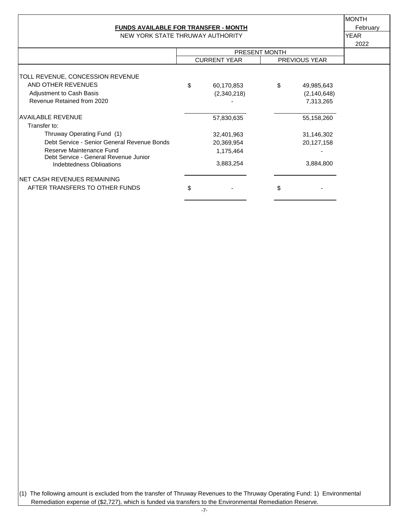| FUNDS AVAILABLE FOR TRANSFER - MONTH | Februarv |  |
|--------------------------------------|----------|--|
|                                      |          |  |

NEW YORK STATE THRUWAY AUTHORITY **WAS CONSIDER ASSAULT** YEAR

MONTH

|                                                                   |                     |               |                      | 2022 |
|-------------------------------------------------------------------|---------------------|---------------|----------------------|------|
|                                                                   |                     | PRESENT MONTH |                      |      |
|                                                                   | <b>CURRENT YEAR</b> |               | <b>PREVIOUS YEAR</b> |      |
|                                                                   |                     |               |                      |      |
| TOLL REVENUE, CONCESSION REVENUE                                  |                     |               |                      |      |
| AND OTHER REVENUES                                                | \$<br>60,170,853    | \$            | 49,985,643           |      |
| Adjustment to Cash Basis                                          | (2,340,218)         |               | (2, 140, 648)        |      |
| Revenue Retained from 2020                                        |                     |               | 7,313,265            |      |
| <b>AVAILABLE REVENUE</b>                                          | 57,830,635          |               | 55,158,260           |      |
| Transfer to:                                                      |                     |               |                      |      |
| Thruway Operating Fund (1)                                        | 32,401,963          |               | 31,146,302           |      |
| Debt Service - Senior General Revenue Bonds                       | 20,369,954          |               | 20,127,158           |      |
| Reserve Maintenance Fund<br>Debt Service - General Revenue Junior | 1,175,464           |               |                      |      |
| Indebtedness Obligations                                          | 3,883,254           |               | 3,884,800            |      |
| INET CASH REVENUES REMAINING                                      |                     |               |                      |      |
| AFTER TRANSFERS TO OTHER FUNDS                                    | \$                  | \$            |                      |      |
|                                                                   |                     |               |                      |      |

(1) The following amount is excluded from the transfer of Thruway Revenues to the Thruway Operating Fund: 1) Environmental Remediation expense of (\$2,727), which is funded via transfers to the Environmental Remediation Reserve.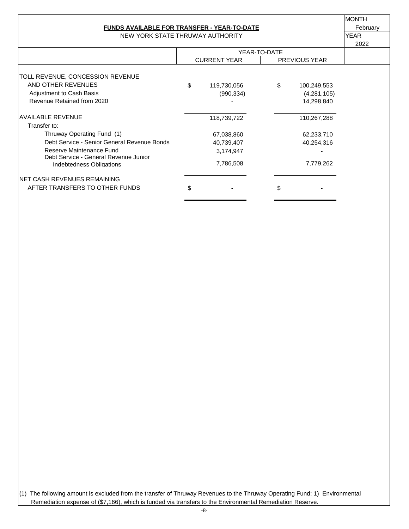#### **FUNDS AVAILABLE FOR TRANSFER - YEAR-TO-DATE** February

NEW YORK STATE THRUWAY AUTHORITY **WAS CONSIDER THANK** YEAR

MONTH

|                                                                   |    |                     |              |                      | 2022 |
|-------------------------------------------------------------------|----|---------------------|--------------|----------------------|------|
|                                                                   |    |                     | YEAR-TO-DATE |                      |      |
|                                                                   |    | <b>CURRENT YEAR</b> |              | <b>PREVIOUS YEAR</b> |      |
|                                                                   |    |                     |              |                      |      |
| TOLL REVENUE, CONCESSION REVENUE                                  |    |                     |              |                      |      |
| AND OTHER REVENUES                                                | \$ | 119,730,056         | \$           | 100,249,553          |      |
| <b>Adjustment to Cash Basis</b>                                   |    | (990, 334)          |              | (4,281,105)          |      |
| Revenue Retained from 2020                                        |    |                     |              | 14,298,840           |      |
| <b>AVAILABLE REVENUE</b>                                          |    | 118,739,722         |              | 110,267,288          |      |
| Transfer to:                                                      |    |                     |              |                      |      |
| Thruway Operating Fund (1)                                        |    | 67,038,860          |              | 62,233,710           |      |
| Debt Service - Senior General Revenue Bonds                       |    | 40,739,407          |              | 40,254,316           |      |
| Reserve Maintenance Fund<br>Debt Service - General Revenue Junior |    | 3,174,947           |              |                      |      |
| Indebtedness Obligations                                          |    | 7,786,508           |              | 7,779,262            |      |
| <b>NET CASH REVENUES REMAINING</b>                                |    |                     |              |                      |      |
| AFTER TRANSFERS TO OTHER FUNDS                                    | \$ |                     | \$           |                      |      |
|                                                                   |    |                     |              |                      |      |

(1) The following amount is excluded from the transfer of Thruway Revenues to the Thruway Operating Fund: 1) Environmental Remediation expense of (\$7,166), which is funded via transfers to the Environmental Remediation Reserve.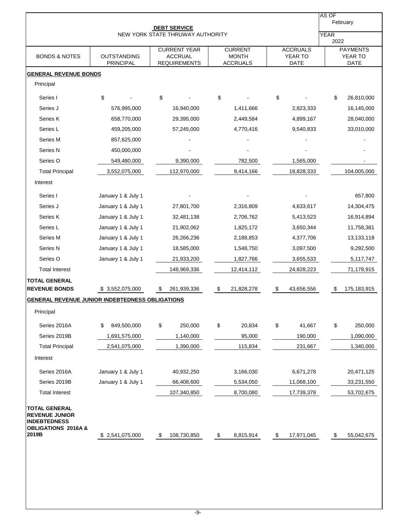|                                                                |                                        | <b>DEBT SERVICE</b>                                          |                                                   |                                           | AS OF<br>February                                 |
|----------------------------------------------------------------|----------------------------------------|--------------------------------------------------------------|---------------------------------------------------|-------------------------------------------|---------------------------------------------------|
|                                                                |                                        | NEW YORK STATE THRUWAY AUTHORITY                             |                                                   |                                           | <b>YEAR</b>                                       |
| <b>BONDS &amp; NOTES</b>                                       | <b>OUTSTANDING</b><br><b>PRINCIPAL</b> | <b>CURRENT YEAR</b><br><b>ACCRUAL</b><br><b>REQUIREMENTS</b> | <b>CURRENT</b><br><b>MONTH</b><br><b>ACCRUALS</b> | <b>ACCRUALS</b><br>YEAR TO<br><b>DATE</b> | 2022<br><b>PAYMENTS</b><br>YEAR TO<br><b>DATE</b> |
| <b>GENERAL REVENUE BONDS</b>                                   |                                        |                                                              |                                                   |                                           |                                                   |
| Principal                                                      |                                        |                                                              |                                                   |                                           |                                                   |
| Series I                                                       | \$                                     | \$                                                           | \$                                                | \$                                        | \$<br>26,810,000                                  |
| Series J                                                       | 576,995,000                            | 16,940,000                                                   | 1,411,666                                         | 2,823,333                                 | 16,145,000                                        |
| Series K                                                       | 658,770,000                            | 29,395,000                                                   | 2,449,584                                         | 4,899,167                                 | 28,040,000                                        |
| Series L                                                       | 459,205,000                            | 57,245,000                                                   | 4,770,416                                         | 9,540,833                                 | 33,010,000                                        |
| Series M                                                       | 857,625,000                            |                                                              |                                                   |                                           |                                                   |
| Series N                                                       | 450,000,000                            |                                                              |                                                   |                                           |                                                   |
| Series O                                                       | 549,480,000                            | 9,390,000                                                    | 782,500                                           | 1,565,000                                 |                                                   |
| <b>Total Principal</b>                                         | 3,552,075,000                          | 112,970,000                                                  | 9,414,166                                         | 18,828,333                                | 104,005,000                                       |
| Interest                                                       |                                        |                                                              |                                                   |                                           |                                                   |
| Series I                                                       | January 1 & July 1                     |                                                              |                                                   |                                           | 657,800                                           |
| Series J                                                       | January 1 & July 1                     | 27,801,700                                                   | 2,316,809                                         | 4,633,617                                 | 14,304,475                                        |
| Series K                                                       | January 1 & July 1                     | 32,481,138                                                   | 2,706,762                                         | 5,413,523                                 | 16,914,894                                        |
| Series L                                                       | January 1 & July 1                     | 21,902,062                                                   | 1,825,172                                         | 3,650,344                                 | 11,758,381                                        |
| Series M                                                       | January 1 & July 1                     | 26,266,236                                                   | 2,188,853                                         | 4,377,706                                 | 13,133,118                                        |
| Series N                                                       | January 1 & July 1                     | 18,585,000                                                   | 1,548,750                                         | 3,097,500                                 | 9,292,500                                         |
| Series O                                                       | January 1 & July 1                     | 21,933,200                                                   | 1,827,766                                         | 3,655,533                                 | 5,117,747                                         |
| <b>Total Interest</b>                                          |                                        | 148,969,336                                                  | 12,414,112                                        | 24,828,223                                | 71,178,915                                        |
| <b>TOTAL GENERAL</b>                                           |                                        |                                                              |                                                   |                                           |                                                   |
| <b>REVENUE BONDS</b>                                           | \$ 3,552,075,000                       | 261,939,336<br>\$                                            | 21,828,278<br>-\$                                 | 43,656,556<br>\$                          | 175,183,915<br>S                                  |
| <b>GENERAL REVENUE JUNIOR INDEBTEDNESS OBLIGATIONS</b>         |                                        |                                                              |                                                   |                                           |                                                   |
| Principal                                                      |                                        |                                                              |                                                   |                                           |                                                   |
| Series 2016A                                                   | 849,500,000<br>\$                      | \$<br>250,000                                                | \$<br>20,834                                      | \$<br>41,667                              | \$<br>250,000                                     |
| Series 2019B                                                   | 1,691,575,000                          | 1,140,000                                                    | 95,000                                            | 190,000                                   | 1,090,000                                         |
| <b>Total Principal</b>                                         | 2,541,075,000                          | 1,390,000                                                    | 115,834                                           | 231,667                                   | 1,340,000                                         |
| Interest                                                       |                                        |                                                              |                                                   |                                           |                                                   |
|                                                                |                                        |                                                              |                                                   | 6,671,278                                 |                                                   |
| Series 2016A                                                   | January 1 & July 1                     | 40,932,250                                                   | 3,166,030                                         |                                           | 20,471,125                                        |
| Series 2019B                                                   | January 1 & July 1                     | 66,408,600                                                   | 5,534,050                                         | 11,068,100                                | 33,231,550                                        |
| <b>Total Interest</b>                                          |                                        | 107,340,850                                                  | 8,700,080                                         | 17,739,378                                | 53,702,675                                        |
| <b>TOTAL GENERAL</b><br><b>REVENUE JUNIOR</b>                  |                                        |                                                              |                                                   |                                           |                                                   |
| <b>INDEBTEDNESS</b><br><b>OBLIGATIONS 2016A &amp;</b><br>2019B |                                        |                                                              | 8,815,914                                         | 17,971,045                                |                                                   |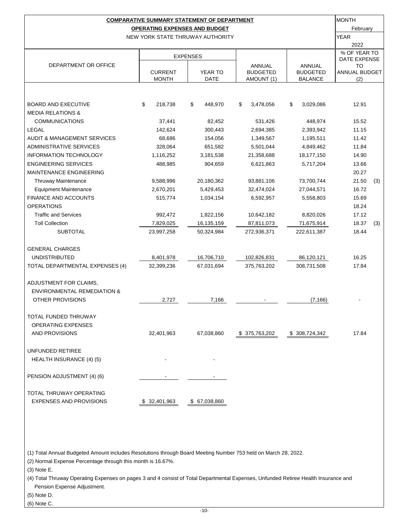|                                        |                | <b>COMPARATIVE SUMMARY STATEMENT OF DEPARTMENT</b> |                 |                 | <b>MONTH</b><br>February     |     |  |  |  |  |  |
|----------------------------------------|----------------|----------------------------------------------------|-----------------|-----------------|------------------------------|-----|--|--|--|--|--|
| <b>OPERATING EXPENSES AND BUDGET</b>   |                |                                                    |                 |                 |                              |     |  |  |  |  |  |
|                                        |                | NEW YORK STATE THRUWAY AUTHORITY                   |                 |                 | <b>YEAR</b>                  |     |  |  |  |  |  |
|                                        |                |                                                    |                 |                 | 2022                         |     |  |  |  |  |  |
|                                        |                | <b>EXPENSES</b>                                    |                 |                 | % OF YEAR TO<br>DATE EXPENSE |     |  |  |  |  |  |
| DEPARTMENT OR OFFICE                   |                |                                                    | <b>ANNUAL</b>   | ANNUAL          | TO                           |     |  |  |  |  |  |
|                                        | <b>CURRENT</b> | YEAR TO                                            | <b>BUDGETED</b> | <b>BUDGETED</b> | <b>ANNUAL BUDGET</b>         |     |  |  |  |  |  |
|                                        | <b>MONTH</b>   | DATE                                               | AMOUNT (1)      | <b>BALANCE</b>  | (2)                          |     |  |  |  |  |  |
|                                        |                |                                                    |                 |                 |                              |     |  |  |  |  |  |
| <b>BOARD AND EXECUTIVE</b>             | \$<br>218,738  | \$<br>448,970                                      | \$<br>3,478,056 | \$<br>3,029,086 | 12.91                        |     |  |  |  |  |  |
| <b>MEDIA RELATIONS &amp;</b>           |                |                                                    |                 |                 |                              |     |  |  |  |  |  |
| <b>COMMUNICATIONS</b>                  | 37,441         | 82,452                                             | 531,426         | 448,974         | 15.52                        |     |  |  |  |  |  |
| LEGAL                                  | 142,624        | 300,443                                            | 2,694,385       | 2,393,942       | 11.15                        |     |  |  |  |  |  |
| AUDIT & MANAGEMENT SERVICES            | 68,686         | 154,056                                            | 1,349,567       | 1,195,511       | 11.42                        |     |  |  |  |  |  |
| <b>ADMINISTRATIVE SERVICES</b>         | 328,064        | 651,582                                            | 5,501,044       | 4,849,462       | 11.84                        |     |  |  |  |  |  |
| <b>INFORMATION TECHNOLOGY</b>          | 1,116,252      | 3,181,538                                          | 21,358,688      | 18,177,150      | 14.90                        |     |  |  |  |  |  |
| <b>ENGINEERING SERVICES</b>            | 488,985        | 904,659                                            | 6,621,863       | 5,717,204       | 13.66                        |     |  |  |  |  |  |
| <b>MAINTENANCE ENGINEERING</b>         |                |                                                    |                 |                 | 20.27                        |     |  |  |  |  |  |
| <b>Thruway Maintenance</b>             | 9,588,996      | 20,180,362                                         | 93,881,106      | 73,700,744      | 21.50                        | (3) |  |  |  |  |  |
| <b>Equipment Maintenance</b>           | 2,670,201      | 5,429,453                                          | 32,474,024      | 27,044,571      | 16.72                        |     |  |  |  |  |  |
| <b>FINANCE AND ACCOUNTS</b>            | 515,774        | 1,034,154                                          | 6,592,957       | 5,558,803       | 15.69                        |     |  |  |  |  |  |
| <b>OPERATIONS</b>                      |                |                                                    |                 |                 | 18.24                        |     |  |  |  |  |  |
| <b>Traffic and Services</b>            | 992,472        | 1,822,156                                          | 10,642,182      | 8,820,026       | 17.12                        |     |  |  |  |  |  |
| <b>Toll Collection</b>                 | 7,829,025      | 16,135,159                                         | 87,811,073      | 71,675,914      | 18.37                        | (3) |  |  |  |  |  |
| <b>SUBTOTAL</b>                        | 23,997,258     | 50,324,984                                         | 272,936,371     | 222,611,387     | 18.44                        |     |  |  |  |  |  |
|                                        |                |                                                    |                 |                 |                              |     |  |  |  |  |  |
| <b>GENERAL CHARGES</b>                 |                |                                                    |                 |                 |                              |     |  |  |  |  |  |
| <b>UNDISTRIBUTED</b>                   | 8,401,978      | 16,706,710                                         | 102,826,831     | 86,120,121      | 16.25                        |     |  |  |  |  |  |
| TOTAL DEPARTMENTAL EXPENSES (4)        | 32,399,236     | 67,031,694                                         | 375,763,202     | 308,731,508     | 17.84                        |     |  |  |  |  |  |
|                                        |                |                                                    |                 |                 |                              |     |  |  |  |  |  |
| ADJUSTMENT FOR CLAIMS,                 |                |                                                    |                 |                 |                              |     |  |  |  |  |  |
| <b>ENVIRONMENTAL REMEDIATION &amp;</b> |                |                                                    |                 |                 |                              |     |  |  |  |  |  |
| OTHER PROVISIONS                       | 2,727          | 7,166                                              |                 | (7, 166)        |                              |     |  |  |  |  |  |
|                                        |                |                                                    |                 |                 |                              |     |  |  |  |  |  |
| TOTAL FUNDED THRUWAY                   |                |                                                    |                 |                 |                              |     |  |  |  |  |  |
| <b>OPERATING EXPENSES</b>              |                |                                                    |                 |                 |                              |     |  |  |  |  |  |
| AND PROVISIONS                         | 32,401,963     | 67,038,860                                         | \$375,763,202   | \$308,724,342   | 17.84                        |     |  |  |  |  |  |
|                                        |                |                                                    |                 |                 |                              |     |  |  |  |  |  |
| UNFUNDED RETIREE                       |                |                                                    |                 |                 |                              |     |  |  |  |  |  |
| HEALTH INSURANCE (4) (5)               |                |                                                    |                 |                 |                              |     |  |  |  |  |  |
|                                        |                |                                                    |                 |                 |                              |     |  |  |  |  |  |
| PENSION ADJUSTMENT (4) (6)             |                |                                                    |                 |                 |                              |     |  |  |  |  |  |
|                                        |                |                                                    |                 |                 |                              |     |  |  |  |  |  |
| TOTAL THRUWAY OPERATING                |                |                                                    |                 |                 |                              |     |  |  |  |  |  |
| <b>EXPENSES AND PROVISIONS</b>         | \$32,401,963   | \$ 67,038,860                                      |                 |                 |                              |     |  |  |  |  |  |

(1) Total Annual Budgeted Amount includes Resolutions through Board Meeting Number 753 held on March 28, 2022.

(2) Normal Expense Percentage through this month is 16.67%.

(3) Note E.

(4) Total Thruway Operating Expenses on pages 3 and 4 consist of Total Departmental Expenses, Unfunded Retiree Health Insurance and Pension Expense Adjustment.

(5) Note D.

(6) Note C.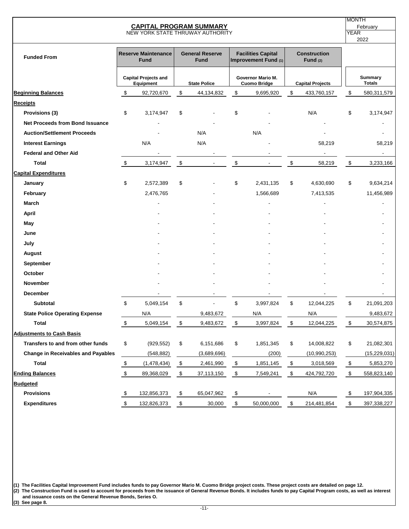| <b>CAPITAL PROGRAM SUMMARY</b><br>NEW YORK STATE THRUWAY AUTHORITY |                           |                                           |                                                                                            |                     |                         |                                          |                         |                                   |                           | <b>MONTH</b><br>February<br><b>YEAR</b><br>2022 |
|--------------------------------------------------------------------|---------------------------|-------------------------------------------|--------------------------------------------------------------------------------------------|---------------------|-------------------------|------------------------------------------|-------------------------|-----------------------------------|---------------------------|-------------------------------------------------|
| <b>Funded From</b>                                                 |                           | <b>Reserve Maintenance</b><br><b>Fund</b> | <b>General Reserve</b><br><b>Facilities Capital</b><br><b>Fund</b><br>Improvement Fund (1) |                     |                         |                                          |                         | <b>Construction</b><br>Fund $(2)$ |                           |                                                 |
|                                                                    |                           | <b>Capital Projects and</b><br>Equipment  |                                                                                            | <b>State Police</b> |                         | Governor Mario M.<br><b>Cuomo Bridge</b> |                         | <b>Capital Projects</b>           |                           | <b>Summary</b><br><b>Totals</b>                 |
| <b>Beginning Balances</b>                                          | \$                        | 92,720,670                                | \$                                                                                         | 44,134,832          | \$                      | 9,695,920                                | \$                      | 433,760,157                       | \$                        | 580,311,579                                     |
| <b>Receipts</b>                                                    |                           |                                           |                                                                                            |                     |                         |                                          |                         |                                   |                           |                                                 |
| Provisions (3)                                                     | \$                        | 3,174,947                                 | \$                                                                                         |                     | \$                      |                                          |                         | N/A                               | \$                        | 3,174,947                                       |
| Net Proceeds from Bond Issuance                                    |                           |                                           |                                                                                            |                     |                         |                                          |                         |                                   |                           |                                                 |
| <b>Auction/Settlement Proceeds</b>                                 |                           |                                           |                                                                                            | N/A                 |                         | N/A                                      |                         |                                   |                           |                                                 |
| <b>Interest Earnings</b>                                           |                           | N/A                                       |                                                                                            | N/A                 |                         |                                          |                         | 58,219                            |                           | 58,219                                          |
| <b>Federal and Other Aid</b>                                       |                           |                                           |                                                                                            |                     |                         |                                          |                         |                                   |                           |                                                 |
| <b>Total</b>                                                       | $\sqrt{3}$                | 3,174,947                                 | \$                                                                                         |                     | \$                      |                                          | \$                      | 58,219                            | $\boldsymbol{\mathsf{S}}$ | 3,233,166                                       |
| <b>Capital Expenditures</b>                                        |                           |                                           |                                                                                            |                     |                         |                                          |                         |                                   |                           |                                                 |
| January                                                            | \$                        | 2,572,389                                 | \$                                                                                         |                     | \$                      | 2,431,135                                | \$                      | 4,630,690                         | \$                        | 9,634,214                                       |
| February                                                           |                           | 2,476,765                                 |                                                                                            |                     |                         | 1,566,689                                |                         | 7,413,535                         |                           | 11,456,989                                      |
| March                                                              |                           |                                           |                                                                                            |                     |                         |                                          |                         |                                   |                           |                                                 |
| <b>April</b>                                                       |                           |                                           |                                                                                            |                     |                         |                                          |                         |                                   |                           |                                                 |
| May                                                                |                           |                                           |                                                                                            |                     |                         |                                          |                         |                                   |                           |                                                 |
| June                                                               |                           |                                           |                                                                                            |                     |                         |                                          |                         |                                   |                           |                                                 |
| July                                                               |                           |                                           |                                                                                            |                     |                         |                                          |                         |                                   |                           |                                                 |
| August                                                             |                           |                                           |                                                                                            |                     |                         |                                          |                         |                                   |                           |                                                 |
| September                                                          |                           |                                           |                                                                                            |                     |                         |                                          |                         |                                   |                           |                                                 |
| October                                                            |                           |                                           |                                                                                            |                     |                         |                                          |                         |                                   |                           |                                                 |
| <b>November</b>                                                    |                           |                                           |                                                                                            |                     |                         |                                          |                         |                                   |                           |                                                 |
| December                                                           |                           |                                           |                                                                                            |                     |                         |                                          |                         |                                   |                           |                                                 |
| <b>Subtotal</b>                                                    | \$                        | 5,049,154                                 | \$                                                                                         |                     | \$                      | 3,997,824                                | \$                      | 12,044,225                        | \$                        | 21,091,203                                      |
| <b>State Police Operating Expense</b>                              |                           | N/A                                       |                                                                                            | 9,483,672           |                         | N/A                                      |                         | N/A                               |                           | 9,483,672                                       |
| <b>Total</b>                                                       | $\sqrt[6]{\frac{1}{2}}$   | 5,049,154                                 | \$                                                                                         | 9,483,672           | \$                      | 3,997,824                                | \$                      | 12,044,225                        | \$                        | 30,574,875                                      |
| <b>Adjustments to Cash Basis</b>                                   |                           |                                           |                                                                                            |                     |                         |                                          |                         |                                   |                           |                                                 |
| Transfers to and from other funds                                  | \$                        | (929, 552)                                | \$                                                                                         | 6,151,686           | \$                      | 1,851,345                                | \$                      | 14,008,822                        | \$                        | 21,082,301                                      |
| <b>Change in Receivables and Payables</b>                          |                           | (548, 882)                                |                                                                                            | (3,689,696)         |                         | (200)                                    |                         | (10, 990, 253)                    |                           | (15, 229, 031)                                  |
| <b>Total</b>                                                       | $\sqrt[6]{\frac{1}{2}}$   | (1,478,434)                               | $\sqrt{2}$                                                                                 | 2,461,990           | $\sqrt[6]{\frac{1}{2}}$ | 1,851,145                                | $\sqrt[6]{\frac{1}{2}}$ | 3,018,569                         | $\sqrt{2}$                | 5,853,270                                       |
| <b>Ending Balances</b>                                             | $\pmb{\mathfrak{z}}$      | 89,368,029                                | $\,$                                                                                       | 37,113,150          | $\sqrt[6]{3}$           | 7,549,241                                | $\boldsymbol{\$}$       | 424,792,720                       | $\sqrt[6]{3}$             | 558,823,140                                     |
| <b>Budgeted</b>                                                    |                           |                                           |                                                                                            |                     |                         |                                          |                         |                                   |                           |                                                 |
| <b>Provisions</b>                                                  | $\boldsymbol{\mathsf{S}}$ | 132,856,373                               | \$                                                                                         | 65,047,962          | \$                      |                                          |                         | $\mathsf{N}/\mathsf{A}$           | $\boldsymbol{\mathsf{S}}$ | 197,904,335                                     |
| <b>Expenditures</b>                                                | \$                        | 132,826,373                               | \$                                                                                         | 30,000              | \$                      | 50,000,000                               | \$                      | 214,481,854                       | \$                        | 397,338,227                                     |

**(1) The Facilities Capital Improvement Fund includes funds to pay Governor Mario M. Cuomo Bridge project costs. These project costs are detailed on page 12. (2) The Construction Fund is used to account for proceeds from the issuance of General Revenue Bonds. It includes funds to pay Capital Program costs, as well as interest and issuance costs on the General Revenue Bonds, Series O.**

**(3) See page 8.**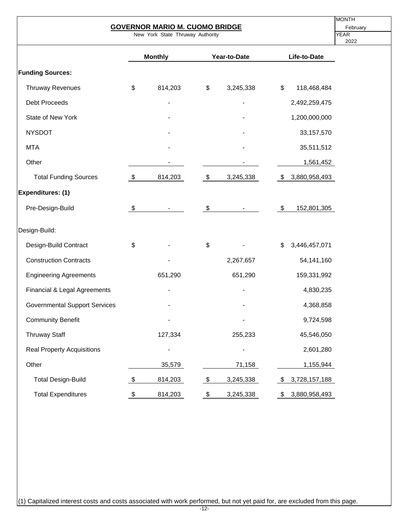|                                      |               | <b>GOVERNOR MARIO M. CUOMO BRIDGE</b> |                         |                          |                       | <b>MONTH</b><br>February |  |  |  |  |
|--------------------------------------|---------------|---------------------------------------|-------------------------|--------------------------|-----------------------|--------------------------|--|--|--|--|
| New York State Thruway Authority     |               |                                       |                         |                          |                       |                          |  |  |  |  |
|                                      |               | <b>Monthly</b>                        |                         | Year-to-Date             | Life-to-Date          |                          |  |  |  |  |
| <b>Funding Sources:</b>              |               |                                       |                         |                          |                       |                          |  |  |  |  |
| <b>Thruway Revenues</b>              | \$            | 814,203                               | \$                      | 3,245,338                | \$<br>118,468,484     |                          |  |  |  |  |
| <b>Debt Proceeds</b>                 |               |                                       |                         |                          | 2,492,259,475         |                          |  |  |  |  |
| State of New York                    |               |                                       |                         |                          | 1,200,000,000         |                          |  |  |  |  |
| <b>NYSDOT</b>                        |               |                                       |                         |                          | 33, 157, 570          |                          |  |  |  |  |
| <b>MTA</b>                           |               |                                       |                         |                          | 35,511,512            |                          |  |  |  |  |
| Other                                |               |                                       |                         |                          | 1,561,452             |                          |  |  |  |  |
| <b>Total Funding Sources</b>         | $\sqrt[6]{3}$ | 814,203                               | $\sqrt{3}$              | 3,245,338                | \$3,880,958,493       |                          |  |  |  |  |
| Expenditures: (1)                    |               |                                       |                         |                          |                       |                          |  |  |  |  |
| Pre-Design-Build                     | $\sqrt[6]{2}$ |                                       | \$                      |                          | \$<br>152,801,305     |                          |  |  |  |  |
| Design-Build:                        |               |                                       |                         |                          |                       |                          |  |  |  |  |
| Design-Build Contract                | \$            |                                       | \$                      |                          | 3,446,457,071<br>\$   |                          |  |  |  |  |
| <b>Construction Contracts</b>        |               |                                       |                         | 2,267,657                | 54,141,160            |                          |  |  |  |  |
| <b>Engineering Agreements</b>        |               | 651,290                               |                         | 651,290                  | 159,331,992           |                          |  |  |  |  |
| Financial & Legal Agreements         |               |                                       |                         |                          | 4,830,235             |                          |  |  |  |  |
| <b>Governmental Support Services</b> |               |                                       |                         |                          | 4,368,858             |                          |  |  |  |  |
| <b>Community Benefit</b>             |               |                                       |                         |                          | 9,724,598             |                          |  |  |  |  |
| <b>Thruway Staff</b>                 |               | 127,334                               |                         | 255,233                  | 45,546,050            |                          |  |  |  |  |
| <b>Real Property Acquisitions</b>    |               |                                       |                         | $\overline{\phantom{0}}$ | 2,601,280             |                          |  |  |  |  |
| Other                                |               | 35,579                                |                         | 71,158                   | 1,155,944             |                          |  |  |  |  |
| <b>Total Design-Build</b>            | $\frac{1}{2}$ | 814,203                               | $\sqrt[6]{3}$           | 3,245,338                | 3,728,157,188<br>- \$ |                          |  |  |  |  |
| <b>Total Expenditures</b>            | \$            | 814,203                               | $\sqrt[6]{\frac{1}{2}}$ | 3,245,338                | 3,880,958,493<br>\$   |                          |  |  |  |  |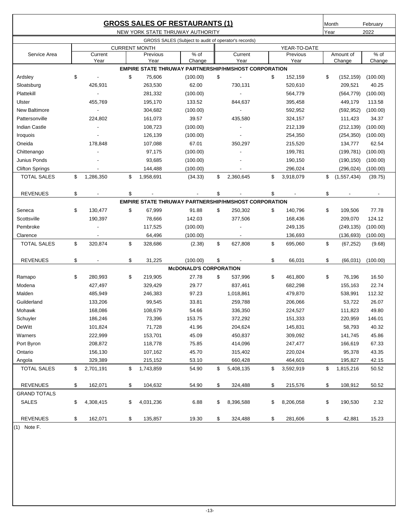|                        |                          |                      |           | <b>GROSS SALES OF RESTAURANTS (1)</b>                       |                          |                 |      | Month       | February                 |
|------------------------|--------------------------|----------------------|-----------|-------------------------------------------------------------|--------------------------|-----------------|------|-------------|--------------------------|
|                        |                          |                      |           | NEW YORK STATE THRUWAY AUTHORITY                            |                          |                 | Year |             | 2022                     |
|                        |                          |                      |           | GROSS SALES (Subject to audit of operator's records)        |                          |                 |      |             |                          |
|                        |                          | <b>CURRENT MONTH</b> |           |                                                             |                          | YEAR-TO-DATE    |      |             |                          |
| Service Area           | Current                  |                      | Previous  | $%$ of                                                      | Current                  | Previous        |      | Amount of   | $%$ of                   |
|                        | Year                     |                      | Year      | Change                                                      | Year                     | Year            |      | Change      | Change                   |
|                        |                          |                      |           | <b>EMPIRE STATE THRUWAY PARTNERSHIP/HMSHOST CORPORATION</b> |                          |                 |      |             |                          |
| Ardsley                | \$<br>$\blacksquare$     | \$                   | 75,606    | (100.00)                                                    | \$                       | \$<br>152,159   | \$   | (152, 159)  | (100.00)                 |
| Sloatsburg             | 426,931                  |                      | 263,530   | 62.00                                                       | 730,131                  | 520,610         |      | 209,521     | 40.25                    |
| Plattekill             |                          |                      | 281,332   | (100.00)                                                    |                          | 564,779         |      | (564, 779)  | (100.00)                 |
| Ulster                 | 455,769                  |                      | 195,170   | 133.52                                                      | 844,637                  | 395,458         |      | 449,179     | 113.58                   |
| <b>New Baltimore</b>   | $\blacksquare$           |                      | 304,682   | (100.00)                                                    | $\overline{a}$           | 592,952         |      | (592, 952)  | (100.00)                 |
| Pattersonville         | 224,802                  |                      | 161,073   | 39.57                                                       | 435,580                  | 324,157         |      | 111,423     | 34.37                    |
| <b>Indian Castle</b>   | $\overline{\phantom{a}}$ |                      | 108,723   | (100.00)                                                    | $\overline{\phantom{a}}$ | 212,139         |      | (212, 139)  | (100.00)                 |
| Iroquois               |                          |                      | 126,139   | (100.00)                                                    |                          | 254,350         |      | (254, 350)  | (100.00)                 |
| Oneida                 | 178,848                  |                      | 107,088   | 67.01                                                       | 350,297                  | 215,520         |      | 134,777     | 62.54                    |
| Chittenango            |                          |                      | 97,175    | (100.00)                                                    |                          | 199,781         |      | (199, 781)  | (100.00)                 |
| Junius Ponds           |                          |                      | 93,685    | (100.00)                                                    |                          | 190,150         |      | (190, 150)  | (100.00)                 |
| <b>Clifton Springs</b> |                          |                      | 144,488   | (100.00)                                                    |                          | 296,024         |      | (296, 024)  | (100.00)                 |
| <b>TOTAL SALES</b>     | \$<br>1,286,350          | \$                   | 1,958,691 | (34.33)                                                     | \$<br>2,360,645          | \$<br>3,918,079 | \$   | (1,557,434) | (39.75)                  |
| <b>REVENUES</b>        | \$                       | \$                   |           |                                                             | \$                       | \$              | \$   |             | $\overline{\phantom{a}}$ |
|                        |                          |                      |           | <b>EMPIRE STATE THRUWAY PARTNERSHIP/HMSHOST CORPORATION</b> |                          |                 |      |             |                          |
| Seneca                 | \$<br>130,477            | \$                   | 67,999    | 91.88                                                       | \$<br>250,302            | \$<br>140,796   | \$   | 109,506     | 77.78                    |
| Scottsville            | 190,397                  |                      | 78,666    | 142.03                                                      | 377,506                  | 168,436         |      | 209,070     | 124.12                   |
| Pembroke               |                          |                      | 117,525   | (100.00)                                                    |                          | 249,135         |      | (249, 135)  | (100.00)                 |
| Clarence               |                          |                      | 64,496    | (100.00)                                                    |                          | 136,693         |      | (136, 693)  | (100.00)                 |
| <b>TOTAL SALES</b>     | \$<br>320,874            | \$                   | 328,686   | (2.38)                                                      | \$<br>627,808            | \$<br>695,060   | \$   | (67, 252)   | (9.68)                   |
|                        |                          |                      |           |                                                             |                          |                 |      |             |                          |
| <b>REVENUES</b>        | \$                       | \$                   | 31,225    | (100.00)                                                    | \$                       | \$<br>66,031    | \$   | (66, 031)   | (100.00)                 |
|                        |                          |                      |           | <b>McDONALD'S CORPORATION</b>                               |                          |                 |      |             |                          |
| Ramapo                 | \$<br>280,993            | \$                   | 219,905   | 27.78                                                       | \$<br>537,996            | \$<br>461,800   | \$   | 76,196      | 16.50                    |
| Modena                 | 427,497                  |                      | 329,429   | 29.77                                                       | 837,461                  | 682,298         |      | 155,163     | 22.74                    |
| Malden                 | 485,949                  |                      | 246,383   | 97.23                                                       | 1,018,861                | 479,870         |      | 538,991     | 112.32                   |
| Guilderland            | 133,206                  |                      | 99,545    | 33.81                                                       | 259,788                  | 206,066         |      | 53,722      | 26.07                    |
| Mohawk                 | 168,086                  |                      | 108,679   | 54.66                                                       | 336,350                  | 224,527         |      | 111,823     | 49.80                    |
| Schuyler               | 186,246                  |                      | 73,396    | 153.75                                                      | 372,292                  | 151,333         |      | 220,959     | 146.01                   |
| DeWitt                 | 101,824                  |                      | 71,728    | 41.96                                                       | 204,624                  | 145,831         |      | 58,793      | 40.32                    |
| Warners                | 222,999                  |                      | 153,701   | 45.09                                                       | 450,837                  | 309,092         |      | 141,745     | 45.86                    |
| Port Byron             | 208,872                  |                      | 118,778   | 75.85                                                       | 414,096                  | 247,477         |      | 166,619     | 67.33                    |
| Ontario                | 156,130                  |                      | 107,162   | 45.70                                                       | 315,402                  | 220,024         |      | 95,378      | 43.35                    |
| Angola                 | 329,389                  |                      | 215,152   | 53.10                                                       | 660,428                  | 464,601         |      | 195,827     | 42.15                    |
| TOTAL SALES            | \$<br>2,701,191          | \$                   | 1,743,859 | 54.90                                                       | \$<br>5,408,135          | \$<br>3,592,919 | \$   | 1,815,216   | 50.52                    |
|                        |                          |                      |           |                                                             |                          |                 |      |             |                          |
| <b>REVENUES</b>        | \$<br>162,071            | \$                   | 104,632   | 54.90                                                       | \$<br>324,488            | \$<br>215,576   | \$   | 108,912     | 50.52                    |
| <b>GRAND TOTALS</b>    |                          |                      |           |                                                             |                          |                 |      |             |                          |
| SALES                  | \$<br>4,308,415          | \$                   | 4,031,236 | 6.88                                                        | \$<br>8,396,588          | \$<br>8,206,058 | \$   | 190,530     | 2.32                     |
| <b>REVENUES</b>        | \$<br>162,071            | \$                   | 135,857   | 19.30                                                       | \$<br>324,488            | \$<br>281,606   | \$   | 42,881      | 15.23                    |

(1) Note F.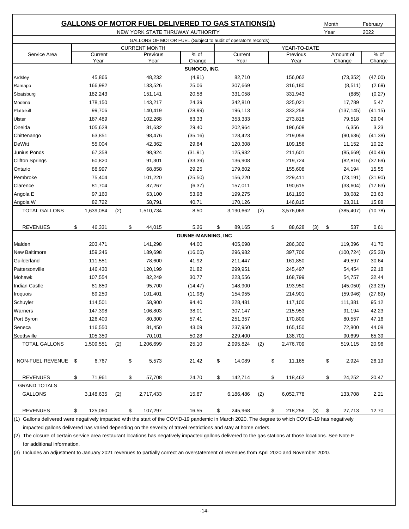| <b>GALLONS OF MOTOR FUEL DELIVERED TO GAS STATIONS(1)</b><br>NEW YORK STATE THRUWAY AUTHORITY          |    |           |     |    |           |                           |    |           | Month<br>Year |               | February<br>2022 |     |            |         |
|--------------------------------------------------------------------------------------------------------|----|-----------|-----|----|-----------|---------------------------|----|-----------|---------------|---------------|------------------|-----|------------|---------|
|                                                                                                        |    |           |     |    |           |                           |    |           |               |               |                  |     |            |         |
| GALLONS OF MOTOR FUEL (Subject to audit of operator's records)<br><b>CURRENT MONTH</b><br>YEAR-TO-DATE |    |           |     |    |           |                           |    |           |               |               |                  |     |            |         |
| Service Area                                                                                           |    | Current   |     |    | Previous  | % of                      |    | Current   |               | Previous      |                  |     | Amount of  | $%$ of  |
|                                                                                                        |    | Year      |     |    | Year      | Change                    |    | Year      |               | Year          |                  |     | Change     | Change  |
|                                                                                                        |    |           |     |    |           | SUNOCO, INC.              |    |           |               |               |                  |     |            |         |
| Ardsley                                                                                                |    | 45,866    |     |    | 48,232    | (4.91)                    |    | 82,710    |               | 156,062       |                  |     | (73, 352)  | (47.00) |
| Ramapo                                                                                                 |    | 166,982   |     |    | 133,526   | 25.06                     |    | 307,669   |               | 316,180       |                  |     | (8, 511)   | (2.69)  |
| Sloatsburg                                                                                             |    | 182,243   |     |    | 151,141   | 20.58                     |    | 331,058   |               | 331,943       |                  |     | (885)      | (0.27)  |
| Modena                                                                                                 |    | 178,150   |     |    | 143,217   | 24.39                     |    | 342,810   |               | 325,021       |                  |     | 17,789     | 5.47    |
| Plattekill                                                                                             |    | 99,706    |     |    | 140,419   | (28.99)                   |    | 196,113   |               | 333,258       |                  |     | (137, 145) | (41.15) |
| Ulster                                                                                                 |    | 187,489   |     |    | 102,268   | 83.33                     |    | 353,333   |               | 273,815       |                  |     | 79,518     | 29.04   |
| Oneida                                                                                                 |    | 105,628   |     |    | 81,632    | 29.40                     |    | 202,964   |               | 196,608       |                  |     | 6,356      | 3.23    |
| Chittenango                                                                                            |    | 63,851    |     |    | 98,476    | (35.16)                   |    | 128,423   |               | 219,059       |                  |     | (90, 636)  | (41.38) |
| <b>DeWitt</b>                                                                                          |    | 55,004    |     |    | 42,362    | 29.84                     |    | 120,308   |               | 109,156       |                  |     | 11,152     | 10.22   |
| Junius Ponds                                                                                           |    | 67,358    |     |    | 98,924    | (31.91)                   |    | 125,932   |               | 211,601       |                  |     | (85,669)   | (40.49) |
| <b>Clifton Springs</b>                                                                                 |    | 60,820    |     |    | 91,301    | (33.39)                   |    | 136,908   |               | 219,724       |                  |     | (82, 816)  | (37.69) |
| Ontario                                                                                                |    | 88,997    |     |    | 68,858    | 29.25                     |    | 179,802   |               | 155,608       |                  |     | 24,194     | 15.55   |
| Pembroke                                                                                               |    | 75,404    |     |    | 101,220   | (25.50)                   |    | 156,220   |               | 229,411       |                  |     | (73, 191)  | (31.90) |
| Clarence                                                                                               |    | 81,704    |     |    | 87,267    | (6.37)                    |    | 157,011   |               | 190,615       |                  |     | (33,604)   | (17.63) |
| Angola E                                                                                               |    | 97,160    |     |    | 63,100    | 53.98                     |    | 199,275   |               | 161,193       |                  |     | 38,082     | 23.63   |
| Angola W                                                                                               |    | 82,722    |     |    | 58,791    | 40.71                     |    | 170,126   |               | 146,815       |                  |     | 23,311     | 15.88   |
| <b>TOTAL GALLONS</b>                                                                                   |    | 1,639,084 | (2) |    | 1,510,734 | 8.50                      |    | 3,190,662 | (2)           | 3,576,069     |                  |     | (385, 407) | (10.78) |
|                                                                                                        |    |           |     |    |           |                           |    |           |               |               |                  |     |            |         |
| <b>REVENUES</b>                                                                                        | \$ | 46,331    |     | \$ | 44,015    | 5.26                      | \$ | 89,165    |               | \$<br>88,628  | (3)              | -\$ | 537        | 0.61    |
|                                                                                                        |    |           |     |    |           | <b>DUNNE-MANNING, INC</b> |    |           |               |               |                  |     |            |         |
| Malden                                                                                                 |    | 203,471   |     |    | 141,298   | 44.00                     |    | 405,698   |               | 286,302       |                  |     | 119,396    | 41.70   |
| New Baltimore                                                                                          |    | 159,246   |     |    | 189,698   | (16.05)                   |    | 296,982   |               | 397,706       |                  |     | (100, 724) | (25.33) |
| Guilderland                                                                                            |    | 111,551   |     |    | 78,600    | 41.92                     |    | 211,447   |               | 161,850       |                  |     | 49,597     | 30.64   |
| Pattersonville                                                                                         |    | 146,430   |     |    | 120,199   | 21.82                     |    | 299,951   |               | 245,497       |                  |     | 54,454     | 22.18   |
| Mohawk                                                                                                 |    | 107,554   |     |    | 82,249    | 30.77                     |    | 223,556   |               | 168,799       |                  |     | 54,757     | 32.44   |
| <b>Indian Castle</b>                                                                                   |    | 81,850    |     |    | 95,700    | (14.47)                   |    | 148,900   |               | 193,950       |                  |     | (45,050)   | (23.23) |
| Iroquois                                                                                               |    | 89,250    |     |    | 101,401   | (11.98)                   |    | 154,955   |               | 214,901       |                  |     | (59, 946)  | (27.89) |
| Schuyler                                                                                               |    | 114,501   |     |    | 58,900    | 94.40                     |    | 228,481   |               | 117,100       |                  |     | 111,381    | 95.12   |
| Warners                                                                                                |    | 147.398   |     |    | 106,803   | 38.01                     |    | 307,147   |               | 215,953       |                  |     | 91,194     | 42.23   |
| Port Byron                                                                                             |    | 126,400   |     |    | 80,300    | 57.41                     |    | 251,357   |               | 170,800       |                  |     | 80,557     | 47.16   |
| Seneca                                                                                                 |    | 116,550   |     |    | 81,450    | 43.09                     |    | 237,950   |               | 165,150       |                  |     | 72,800     | 44.08   |
| Scottsville                                                                                            |    | 105,350   |     |    | 70,101    | 50.28                     |    | 229,400   |               | 138,701       |                  |     | 90,699     | 65.39   |
| TOTAL GALLONS                                                                                          |    | 1,509,551 | (2) |    | 1,206,699 | 25.10                     |    | 2,995,824 | (2)           | 2,476,709     |                  |     | 519,115    | 20.96   |
|                                                                                                        |    |           |     |    |           |                           |    |           |               |               |                  |     |            |         |
| NON-FUEL REVENUE \$                                                                                    |    | 6,767     |     | \$ | 5,573     | 21.42                     | \$ | 14,089    |               | \$<br>11,165  |                  | \$  | 2,924      | 26.19   |
|                                                                                                        |    |           |     |    |           |                           |    |           |               |               |                  |     |            |         |
| <b>REVENUES</b>                                                                                        | \$ | 71,961    |     | \$ | 57,708    | 24.70                     | \$ | 142,714   |               | \$<br>118,462 |                  | \$  | 24,252     | 20.47   |
| <b>GRAND TOTALS</b>                                                                                    |    |           |     |    |           |                           |    |           |               |               |                  |     |            |         |
| <b>GALLONS</b>                                                                                         |    | 3,148,635 | (2) |    | 2,717,433 | 15.87                     |    | 6,186,486 | (2)           | 6,052,778     |                  |     | 133,708    | 2.21    |
| <b>REVENUES</b>                                                                                        | \$ | 125,060   |     | \$ | 107,297   | 16.55                     | \$ | 245,968   |               | \$<br>218,256 | $(3)$ \$         |     | 27,713     | 12.70   |

(1) Gallons delivered were negatively impacted with the start of the COVID-19 pandemic in March 2020. The degree to which COVID-19 has negatively impacted gallons delivered has varied depending on the severity of travel restrictions and stay at home orders.

(2) The closure of certain service area restaurant locations has negatively impacted gallons delivered to the gas stations at those locations. See Note F for additional information.

(3) Includes an adjustment to January 2021 revenues to partially correct an overstatement of revenues from April 2020 and November 2020.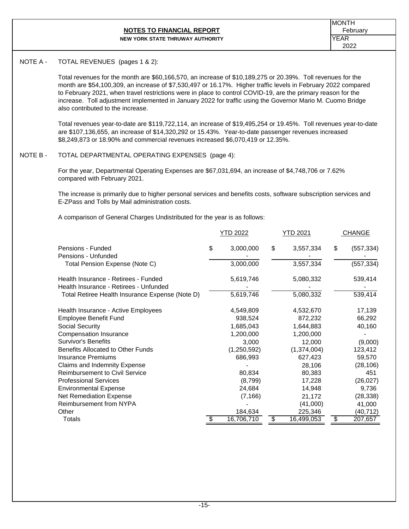# **NOTES TO FINANCIAL REPORT** February **Financial Report**

MONTH YEAR 2022

#### **NEW YORK STATE THRUWAY AUTHORITY**

#### NOTE A - TOTAL REVENUES (pages 1 & 2):

Total revenues for the month are \$60,166,570, an increase of \$10,189,275 or 20.39%. Toll revenues for the month are \$54,100,309, an increase of \$7,530,497 or 16.17%. Higher traffic levels in February 2022 compared to February 2021, when travel restrictions were in place to control COVID-19, are the primary reason for the increase. Toll adjustment implemented in January 2022 for traffic using the Governor Mario M. Cuomo Bridge also contributed to the increase.

Total revenues year-to-date are \$119,722,114, an increase of \$19,495,254 or 19.45%. Toll revenues year-to-date are \$107,136,655, an increase of \$14,320,292 or 15.43%. Year-to-date passenger revenues increased \$8,249,873 or 18.90% and commercial revenues increased \$6,070,419 or 12.35%.

#### NOTE B - TOTAL DEPARTMENTAL OPERATING EXPENSES (page 4):

For the year, Departmental Operating Expenses are \$67,031,694, an increase of \$4,748,706 or 7.62% compared with February 2021.

The increase is primarily due to higher personal services and benefits costs, software subscription services and E-ZPass and Tolls by Mail administration costs.

A comparison of General Charges Undistributed for the year is as follows:

|                                                                                | YTD 2022         | YTD 2021         | <b>CHANGE</b>              |
|--------------------------------------------------------------------------------|------------------|------------------|----------------------------|
| Pensions - Funded<br>Pensions - Unfunded                                       | \$<br>3,000,000  | \$<br>3,557,334  | \$<br>(557, 334)           |
| Total Pension Expense (Note C)                                                 | 3,000,000        | 3,557,334        | (557,334)                  |
| Health Insurance - Retirees - Funded<br>Health Insurance - Retirees - Unfunded | 5,619,746        | 5,080,332        | 539,414                    |
| Total Retiree Health Insurance Expense (Note D)                                | 5,619,746        | 5,080,332        | 539,414                    |
| Health Insurance - Active Employees                                            | 4,549,809        | 4,532,670        | 17,139                     |
| <b>Employee Benefit Fund</b>                                                   | 938,524          | 872,232          | 66,292                     |
| Social Security                                                                | 1,685,043        | 1,644,883        | 40,160                     |
| Compensation Insurance                                                         | 1,200,000        | 1,200,000        |                            |
| <b>Survivor's Benefits</b>                                                     | 3,000            | 12,000           | (9,000)                    |
| Benefits Allocated to Other Funds                                              | (1,250,592)      | (1,374,004)      | 123,412                    |
| <b>Insurance Premiums</b>                                                      | 686,993          | 627,423          | 59,570                     |
| Claims and Indemnity Expense                                                   |                  | 28,106           | (28, 106)                  |
| <b>Reimbursement to Civil Service</b>                                          | 80,834           | 80,383           | 451                        |
| <b>Professional Services</b>                                                   | (8,799)          | 17,228           | (26, 027)                  |
| <b>Environmental Expense</b>                                                   | 24,684           | 14,948           | 9,736                      |
| <b>Net Remediation Expense</b>                                                 | (7, 166)         | 21,172           | (28, 338)                  |
| Reimbursement from NYPA                                                        |                  | (41,000)         | 41,000                     |
| Other                                                                          | 184,634          | 225,346          | (40,712)                   |
| Totals                                                                         | \$<br>16,706,710 | \$<br>16,499,053 | \$<br>$\overline{207,}657$ |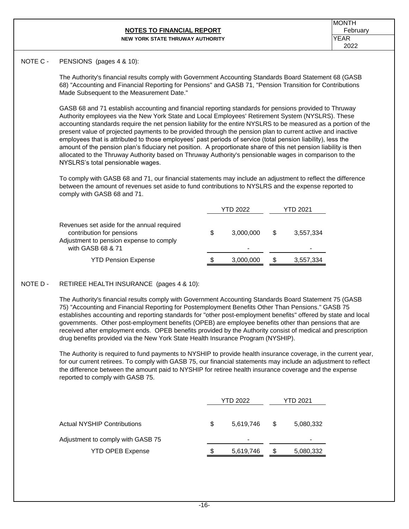#### **NOTES TO FINANCIAL REPORT** February **February NEW YORK STATE THRUWAY AUTHORITY**

#### NOTE C - PENSIONS (pages 4 & 10):

The Authority's financial results comply with Government Accounting Standards Board Statement 68 (GASB 68) "Accounting and Financial Reporting for Pensions" and GASB 71, "Pension Transition for Contributions Made Subsequent to the Measurement Date."

GASB 68 and 71 establish accounting and financial reporting standards for pensions provided to Thruway Authority employees via the New York State and Local Employees' Retirement System (NYSLRS). These accounting standards require the net pension liability for the entire NYSLRS to be measured as a portion of the present value of projected payments to be provided through the pension plan to current active and inactive employees that is attributed to those employees' past periods of service (total pension liability), less the amount of the pension plan's fiduciary net position. A proportionate share of this net pension liability is then allocated to the Thruway Authority based on Thruway Authority's pensionable wages in comparison to the NYSLRS's total pensionable wages.

To comply with GASB 68 and 71, our financial statements may include an adjustment to reflect the difference between the amount of revenues set aside to fund contributions to NYSLRS and the expense reported to comply with GASB 68 and 71.

|                                                                                                                                         |   | YTD 2022                    |   | YTD 2021  |  |  |
|-----------------------------------------------------------------------------------------------------------------------------------------|---|-----------------------------|---|-----------|--|--|
| Revenues set aside for the annual required<br>contribution for pensions<br>Adjustment to pension expense to comply<br>with GASB 68 & 71 | S | 3,000,000<br>$\blacksquare$ | S | 3,557,334 |  |  |
| <b>YTD Pension Expense</b>                                                                                                              | S | 3,000,000                   | S | 3,557,334 |  |  |

#### NOTE D - RETIREE HEALTH INSURANCE (pages 4 & 10):

The Authority's financial results comply with Government Accounting Standards Board Statement 75 (GASB 75) "Accounting and Financial Reporting for Postemployment Benefits Other Than Pensions." GASB 75 establishes accounting and reporting standards for "other post-employment benefits" offered by state and local governments. Other post-employment benefits (OPEB) are employee benefits other than pensions that are received after employment ends. OPEB benefits provided by the Authority consist of medical and prescription drug benefits provided via the New York State Health Insurance Program (NYSHIP).

The Authority is required to fund payments to NYSHIP to provide health insurance coverage, in the current year, for our current retirees. To comply with GASB 75, our financial statements may include an adjustment to reflect the difference between the amount paid to NYSHIP for retiree health insurance coverage and the expense reported to comply with GASB 75.

|                                    |    | YTD 2022       | <b>YTD 2021</b> |           |  |
|------------------------------------|----|----------------|-----------------|-----------|--|
|                                    |    |                |                 |           |  |
| <b>Actual NYSHIP Contributions</b> | \$ | 5,619,746      | S               | 5,080,332 |  |
| Adjustment to comply with GASB 75  |    | $\blacksquare$ |                 |           |  |
| <b>YTD OPEB Expense</b>            | S  | 5,619,746      | S               | 5,080,332 |  |